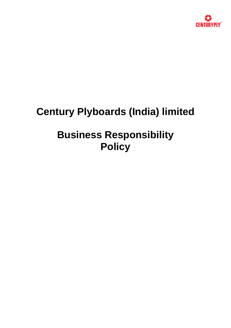

# **Century Plyboards (India) limited**

# **Business Responsibility Policy**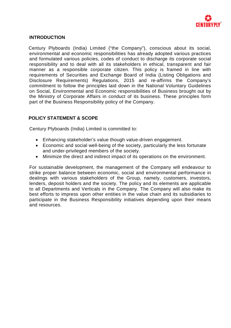

#### **INTRODUCTION**

Century Plyboards (India) Limited ("the Company"), conscious about its social, environmental and economic responsibilities has already adopted various practices and formulated various policies, codes of conduct to discharge its corporate social responsibility and to deal with all its stakeholders in ethical, transparent and fair manner as a responsible corporate citizen. This policy is framed in line with requirements of Securities and Exchange Board of India (Listing Obligations and Disclosure Requirements) Regulations, 2015 and re-affirms the Company's commitment to follow the principles laid down in the National Voluntary Guidelines on Social, Environmental and Economic responsibilities of Business brought out by the Ministry of Corporate Affairs in conduct of its business. These principles form part of the Business Responsibility policy of the Company.

# **POLICY STATEMENT & SCOPE**

Century Plyboards (India) Limited is committed to:

- Enhancing stakeholder's value though value-driven engagement.
- Economic and social well-being of the society, particularly the less fortunate and under-privileged members of the society.
- Minimize the direct and indirect impact of its operations on the environment.

For sustainable development, the management of the Company will endeavour to strike proper balance between economic, social and environmental performance in dealings with various stakeholders of the Group, namely, customers, investors, lenders, deposit holders and the society. The policy and its elements are applicable to all Departments and Verticals in the Company. The Company will also make its best efforts to impress upon other entities in the value chain and its subsidiaries to participate in the Business Responsibility initiatives depending upon their means and resources.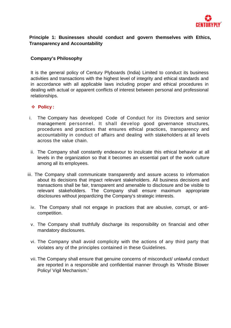

# **Principle 1: Businesses should conduct and govern themselves with Ethics, Transparency and Accountability**

# **Company's Philosophy**

It is the general policy of Century Plyboards (India) Limited to conduct its business activities and transactions with the highest level of integrity and ethical standards and in accordance with all applicable laws including proper and ethical procedures in dealing with actual or apparent conflicts of interest between personal and professional relationships.

- i. The Company has developed Code of Conduct for its Directors and senior management personnel. It shall develop good governance structures, procedures and practices that ensures ethical practices, transparency and accountability in conduct of affairs and dealing with stakeholders at all levels across the value chain.
- ii. The Company shall constantly endeavour to inculcate this ethical behavior at all levels in the organization so that it becomes an essential part of the work culture among all its employees.
- iii. The Company shall communicate transparently and assure access to information about its decisions that impact relevant stakeholders. All business decisions and transactions shall be fair, transparent and amenable to disclosure and be visible to relevant stakeholders. The Company shall ensure maximum appropriate disclosures without jeopardizing the Company's strategic interests.
	- iv. The Company shall not engage in practices that are abusive, corrupt, or anticompetition.
	- v. The Company shall truthfully discharge its responsibility on financial and other mandatory disclosures.
	- vi. The Company shall avoid complicity with the actions of any third party that violates any of the principles contained in these Guidelines.
	- vii. The Company shall ensure that genuine concerns of misconduct/ unlawful conduct are reported in a responsible and confidential manner through its 'Whistle Blower Policy/ Vigil Mechanism.'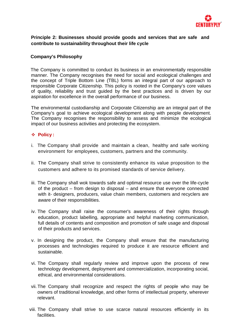

# **Principle 2: Businesses should provide goods and services that are safe and contribute to sustainability throughout their life cycle**

# **Company's Philosophy**

The Company is committed to conduct its business in an environmentally responsible manner. The Company recognises the need for social and ecological challenges and the concept of Triple Bottom Line (TBL) forms an integral part of our approach to responsible Corporate Citizenship. This policy is rooted in the Company's core values of quality, reliability and trust guided by the best practices and is driven by our aspiration for excellence in the overall performance of our business.

The environmental custodianship and Corporate Citizenship are an integral part of the Company's goal to achieve ecological development along with people development. The Company recognises the responsibility to assess and minimize the ecological impact of our business activities and protecting the ecosystem.

- i. The Company shall provide and maintain a clean, healthy and safe working environment for employees, customers, partners and the community.
- ii. The Company shall strive to consistently enhance its value proposition to the customers and adhere to its promised standards of service delivery.
- iii. The Company shall wok towards safe and optimal resource use over the life-cycle of the product – from design to disposal – and ensure that everyone connected with it- designers, producers, value chain members, customers and recyclers are aware of their responsibilities.
- iv. The Company shall raise the consumer's awareness of their rights through education, product labelling, appropriate and helpful marketing communication, full details of contents and composition and promotion of safe usage and disposal of their products and services.
- v. In designing the product, the Company shall ensure that the manufacturing processes and technologies required to produce it are resource efficient and sustainable.
- vi. The Company shall regularly review and improve upon the process of new technology development, deployment and commercialization, incorporating social, ethical, and environmental considerations.
- vii.The Company shall recognize and respect the rights of people who may be owners of traditional knowledge, and other forms of intellectual property, wherever relevant.
- viii. The Company shall strive to use scarce natural resources efficiently in its facilities.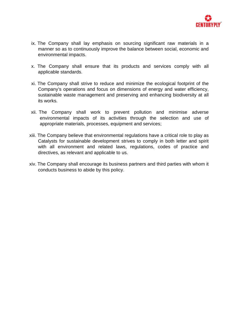

- ix. The Company shall lay emphasis on sourcing significant raw materials in a manner so as to continuously improve the balance between social, economic and environmental impacts.
- x. The Company shall ensure that its products and services comply with all applicable standards.
- xi. The Company shall strive to reduce and minimize the ecological footprint of the Company's operations and focus on dimensions of energy and water efficiency, sustainable waste management and preserving and enhancing biodiversity at all its works.
- xii. The Company shall work to prevent pollution and minimise adverse environmental impacts of its activities through the selection and use of appropriate materials, processes, equipment and services;
- xiii. The Company believe that environmental regulations have a critical role to play as Catalysts for sustainable development strives to comply in both letter and spirit with all environment and related laws, regulations, codes of practice and directives, as relevant and applicable to us.
- xiv. The Company shall encourage its business partners and third parties with whom it conducts business to abide by this policy.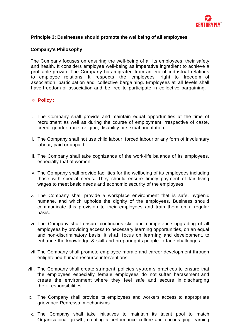

# **Principle 3: Businesses should promote the wellbeing of all employees**

# **Company's Philosophy**

The Company focuses on ensuring the well-being of all its employees, their safety and health. It considers employee well-being as imperative ingredient to achieve a profitable growth. The Company has migrated from an era of industrial relations to employee relations. It respects the employees' right to freedom of association, participation and collective bargaining. Employees at all levels shall have freedom of association and be free to participate in collective bargaining.

- . i. The Company shall provide and maintain equal opportunities at the time of recruitment as well as during the course of employment irrespective of caste, creed, gender, race, religion, disability or sexual orientation.
- ii. The Company shall not use child labour, forced labour or any form of involuntary labour, paid or unpaid.
- iii. The Company shall take cognizance of the work-life balance of its employees, especially that of women.
- iv. The Company shall provide facilities for the wellbeing of its employees including those with special needs. They should ensure timely payment of fair living wages to meet basic needs and economic security of the employees.
- v. The Company shall provide a workplace environment that is safe, hygienic humane, and which upholds the dignity of the employees. Business should communicate this provision to their employees and train them on a regular basis.
- vi. The Company shall ensure continuous skill and competence upgrading of all employees by providing access to necessary learning opportunities, on an equal and non-discriminatory basis. It shall focus on learning and development, to enhance the knowledge & skill and preparing its people to face challenges
- vii. The Company shall promote employee morale and career development through enlightened human resource interventions.
- viii. The Company shall create stringent policies systems practices to ensure that the employees especially female employees do not suffer harassment and create the environment where they feel safe and secure in discharging their responsibilities.
- ix. The Company shall provide its employees and workers access to appropriate grievance Redressal mechanisms.
	- x. The Company shall take initiatives to maintain its talent pool to match Organisational growth, creating a performance culture and encouraging learning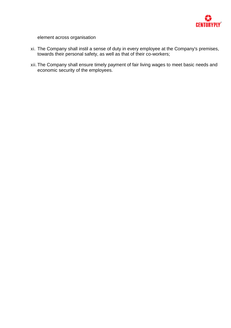

element across organisation

- xi. The Company shall instil a sense of duty in every employee at the Company's premises, towards their personal safety, as well as that of their co-workers;
- xii. The Company shall ensure timely payment of fair living wages to meet basic needs and economic security of the employees.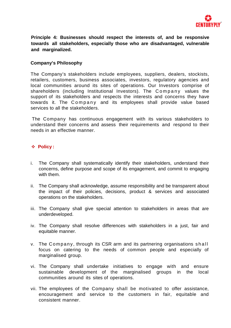

**Principle 4: Businesses should respect the interests of, and be responsive towards all stakeholders, especially those who are disadvantaged, vulnerable and marginalized.**

#### **Company's Philosophy**

The Company's stakeholders include employees, suppliers, dealers, stockists, retailers, customers, business associates, investors, regulatory agencies and local communities around its sites of operations. Our Investors comprise of shareholders (including Institutional Investors). The Company values the support of its stakeholders and respects the interests and concerns they have towards it. The Company and its employees shall provide value based services to all the stakeholders.

The Company has continuous engagement with its various stakeholders to understand their concerns and assess their requirements and respond to their needs in an effective manner.

- i. The Company shall systematically identify their stakeholders, understand their concerns, define purpose and scope of its engagement, and commit to engaging with them.
- ii. The Company shall acknowledge, assume responsibility and be transparent about the impact of their policies, decisions, product & services and associated operations on the stakeholders.
- iii. The Company shall give special attention to stakeholders in areas that are underdeveloped.
- iv. The Company shall resolve differences with stakeholders in a just, fair and equitable manner.
- v. The Company, through its CSR arm and its partnering organisations shall focus on catering to the needs of common people and especially of marginalised group.
- vi. The Company shall undertake initiatives to engage with and ensure sustainable development of the marginalised groups in the local communities around its sites of operations.
- vii. The employees of the Company shall be motivated to offer assistance, encouragement and service to the customers in fair, equitable and consistent manner.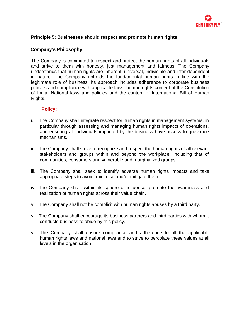

# **Principle 5: Businesses should respect and promote human rights**

# **Company's Philosophy**

The Company is committed to respect and protect the human rights of all individuals and strive to them with honesty, just management and fairness. The Company understands that human rights are inherent, universal, indivisible and inter-dependent in nature. The Company upholds the fundamental human rights in line with the legitimate role of business. Its approach includes adherence to corporate business policies and compliance with applicable laws, human rights content of the Constitution of India, National laws and policies and the content of International Bill of Human Rights.

- i. The Company shall integrate respect for human rights in management systems, in particular through assessing and managing human rights impacts of operations, and ensuring all individuals impacted by the business have access to grievance mechanisms.
- ii. The Company shall strive to recognize and respect the human rights of all relevant stakeholders and groups within and beyond the workplace, including that of communities, consumers and vulnerable and marginalized groups.
- iii. The Company shall seek to identify adverse human rights impacts and take appropriate steps to avoid, minimise and/or mitigate them.
- iv. The Company shall, within its sphere of influence, promote the awareness and realization of human rights across their value chain.
- v. The Company shall not be complicit with human rights abuses by a third party.
- vi. The Company shall encourage its business partners and third parties with whom it conducts business to abide by this policy.
- vii. The Company shall ensure compliance and adherence to all the applicable human rights laws and national laws and to strive to percolate these values at all levels in the organisation.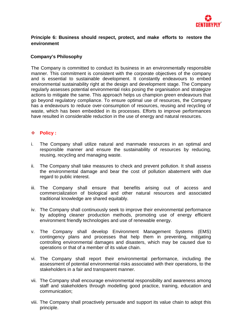

# **Principle 6: Business should respect, protect, and make efforts to restore the environment**

# **Company's Philosophy**

The Company is committed to conduct its business in an environmentally responsible manner. This commitment is consistent with the corporate objectives of the company and is essential to sustainable development. It constantly endeavours to embed environmental sustainability right at the design and development stage. The Company regularly assesses potential environmental risks posing the organisation and strategize actions to mitigate the same. This approach helps us champion green endeavours that go beyond regulatory compliance. To ensure optimal use of resources, the Company has a endeavours to reduce over-consumption of resources, reusing and recycling of waste, which has been embedded in its processes. Efforts to improve performances have resulted in considerable reduction in the use of energy and natural resources.

- i. The Company shall utilize natural and manmade resources in an optimal and responsible manner and ensure the sustainability of resources by reducing, reusing, recycling and managing waste.
- ii. The Company shall take measures to check and prevent pollution. It shall assess the environmental damage and bear the cost of pollution abatement with due regard to public interest.
- iii. The Company shall ensure that benefits arising out of access and commercialization of biological and other natural resources and associated traditional knowledge are shared equitably.
- iv. The Company shall continuously seek to improve their environmental performance by adopting cleaner production methods, promoting use of energy efficient environment friendly technologies and use of renewable energy.
- v. The Company shall develop Environment Management Systems (EMS) contingency plans and processes that help them in preventing, mitigating controlling environmental damages and disasters, which may be caused due to operations or that of a member of its value chain.
- vi. The Company shall report their environmental performance, including the assessment of potential environmental risks associated with their operations, to the stakeholders in a fair and transparent manner.
- vii. The Company shall encourage environmental responsibility and awareness among staff and stakeholders through modelling good practice, training, education and communication;
- viii. The Company shall proactively persuade and support its value chain to adopt this principle.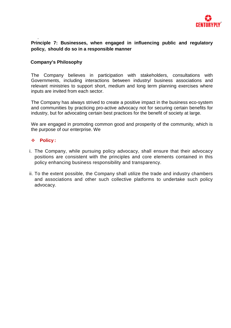

#### . **Principle 7: Businesses, when engaged in influencing public and regulatory policy, should do so in a responsible manner**

#### **Company's Philosophy**

The Company believes in participation with stakeholders, consultations with Governments, including interactions between industry/ business associations and relevant ministries to support short, medium and long term planning exercises where inputs are invited from each sector.

The Company has always strived to create a positive impact in the business eco-system and communities by practicing pro-active advocacy not for securing certain benefits for industry, but for advocating certain best practices for the benefit of society at large.

We are engaged in promoting common good and prosperity of the community, which is the purpose of our enterprise. We

- i. The Company, while pursuing policy advocacy, shall ensure that their advocacy positions are consistent with the principles and core elements contained in this policy enhancing business responsibility and transparency.
- ii. To the extent possible, the Company shall utilize the trade and industry chambers and associations and other such collective platforms to undertake such policy advocacy.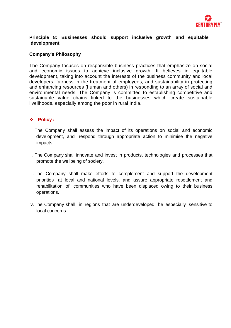

# **Principle 8: Businesses should support inclusive growth and equitable development**

#### **Company's Philosophy**

The Company focuses on responsible business practices that emphasize on social and economic issues to achieve inclusive growth. It believes in equitable development, taking into account the interests of the business community and local developers, fairness in the treatment of employees, and sustainability in protecting and enhancing resources (human and others) in responding to an array of social and environmental needs. The Company is committed to establishing competitive and sustainable value chains linked to the businesses which create sustainable livelihoods, especially among the poor in rural India.

- i. The Company shall assess the impact of its operations on social and economic development, and respond through appropriate action to minimise the negative impacts.
- ii. The Company shall innovate and invest in products, technologies and processes that promote the wellbeing of society.
- iii.The Company shall make efforts to complement and support the development priorities at local and national levels, and assure appropriate resettlement and rehabilitation of communities who have been displaced owing to their business operations.
- iv.The Company shall, in regions that are underdeveloped, be especially sensitive to local concerns.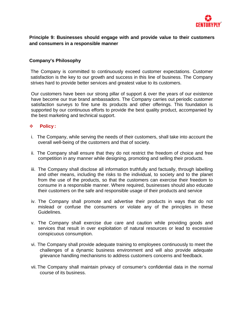

# **Principle 9: Businesses should engage with and provide value to their customers and consumers in a responsible manner**

# **Company's Philosophy**

The Company is committed to continuously exceed customer expectations. Customer satisfaction is the key to our growth and success in this line of business. The Company strives hard to provide better services and greatest value to its customers.

Our customers have been our strong pillar of support & over the years of our existence have become our true brand ambassadors. The Company carries out periodic customer satisfaction surveys to fine tune its products and other offerings. This foundation is supported by our continuous efforts to provide the best quality product, accompanied by the best marketing and technical support.

- i. The Company, while serving the needs of their customers, shall take into account the overall well-being of the customers and that of society.
- ii. The Company shall ensure that they do not restrict the freedom of choice and free competition in any manner while designing, promoting and selling their products.
- iii. The Company shall disclose all information truthfully and factually, through labelling and other means, including the risks to the individual, to society and to the planet from the use of the products, so that the customers can exercise their freedom to consume in a responsible manner. Where required, businesses should also educate their customers on the safe and responsible usage of their products and service
- iv. The Company shall promote and advertise their products in ways that do not mislead or confuse the consumers or violate any of the principles in these Guidelines.
- v. The Company shall exercise due care and caution while providing goods and services that result in over exploitation of natural resources or lead to excessive conspicuous consumption.
- vi. The Company shall provide adequate training to employees continuously to meet the challenges of a dynamic business environment and will also provide adequate grievance handling mechanisms to address customers concerns and feedback.
- vii. The Company shall maintain privacy of consumer's confidential data in the normal course of its business.